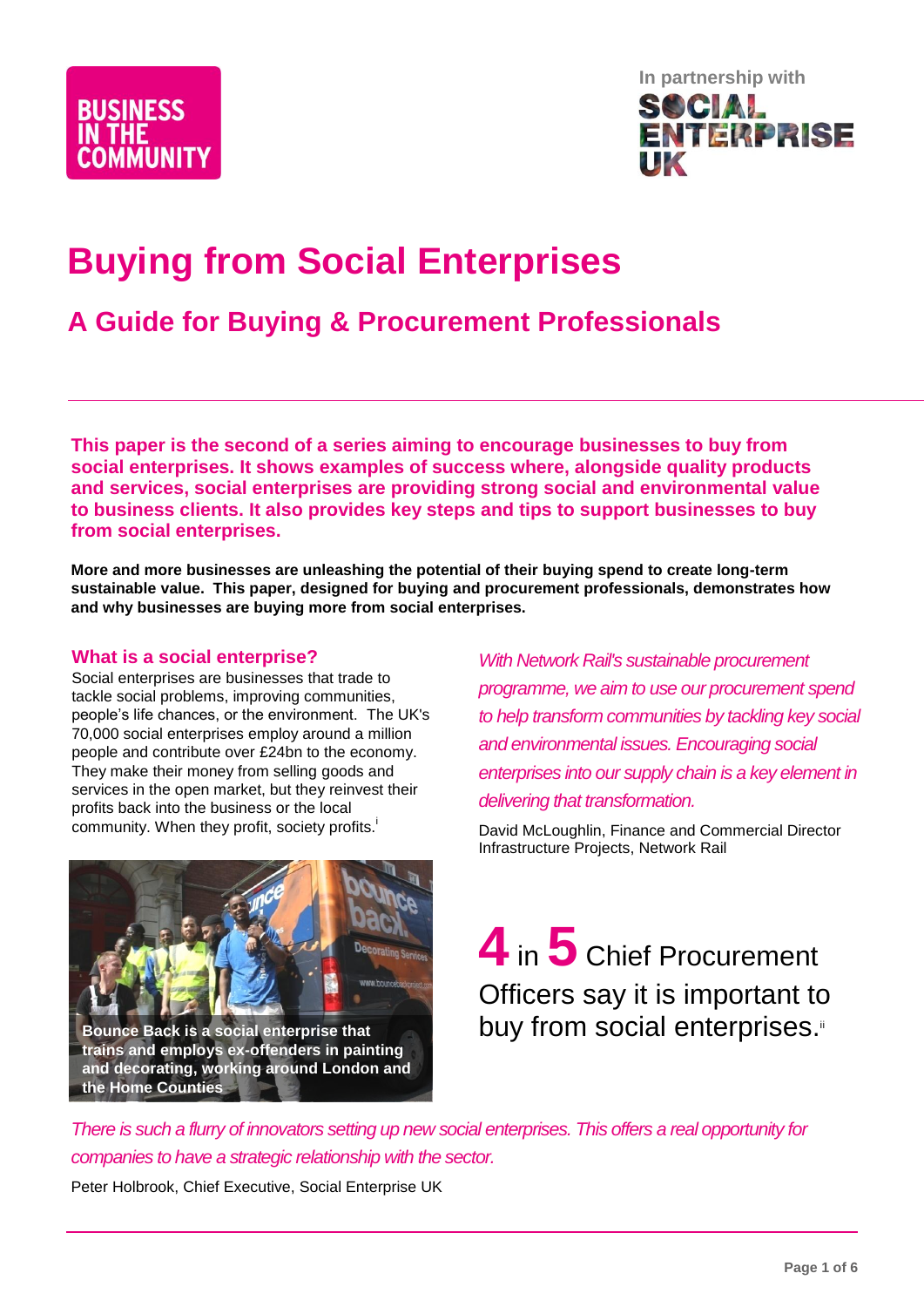



# **Buying from Social Enterprises**

## **A Guide for Buying & Procurement Professionals**

**This paper is the second of a series aiming to encourage businesses to buy from social enterprises. It shows examples of success where, alongside quality products and services, social enterprises are providing strong social and environmental value to business clients. It also provides key steps and tips to support businesses to buy from social enterprises.**

**More and more businesses are unleashing the potential of their buying spend to create long-term sustainable value. This paper, designed for buying and procurement professionals, demonstrates how and why businesses are buying more from social enterprises.** 

#### **What is a social enterprise?**

Social enterprises are businesses that trade to tackle social problems, improving communities, people's life chances, or the environment. The UK's 70,000 social enterprises employ around a million people and contribute over £24bn to the economy. They make their money from selling goods and services in the open market, but they reinvest their profits back into the business or the local community. When they profit, society profits.

**Bounce Back is a social enterprise that trains and employs ex-offenders in painting and decorating, working around London and the Home Counties**

*With Network Rail's sustainable procurement programme, we aim to use our procurement spend to help transform communities by tackling key social and environmental issues. Encouraging social enterprises into our supply chain is a key element in delivering that transformation.*

David McLoughlin, Finance and Commercial Director Infrastructure Projects, Network Rail

**4** in **5** Chief Procurement Officers say it is important to buy from social enterprises.

*There is such a flurry of innovators setting up new social enterprises. This offers a real opportunity for companies to have a strategic relationship with the sector.*

Peter Holbrook, Chief Executive, Social Enterprise UK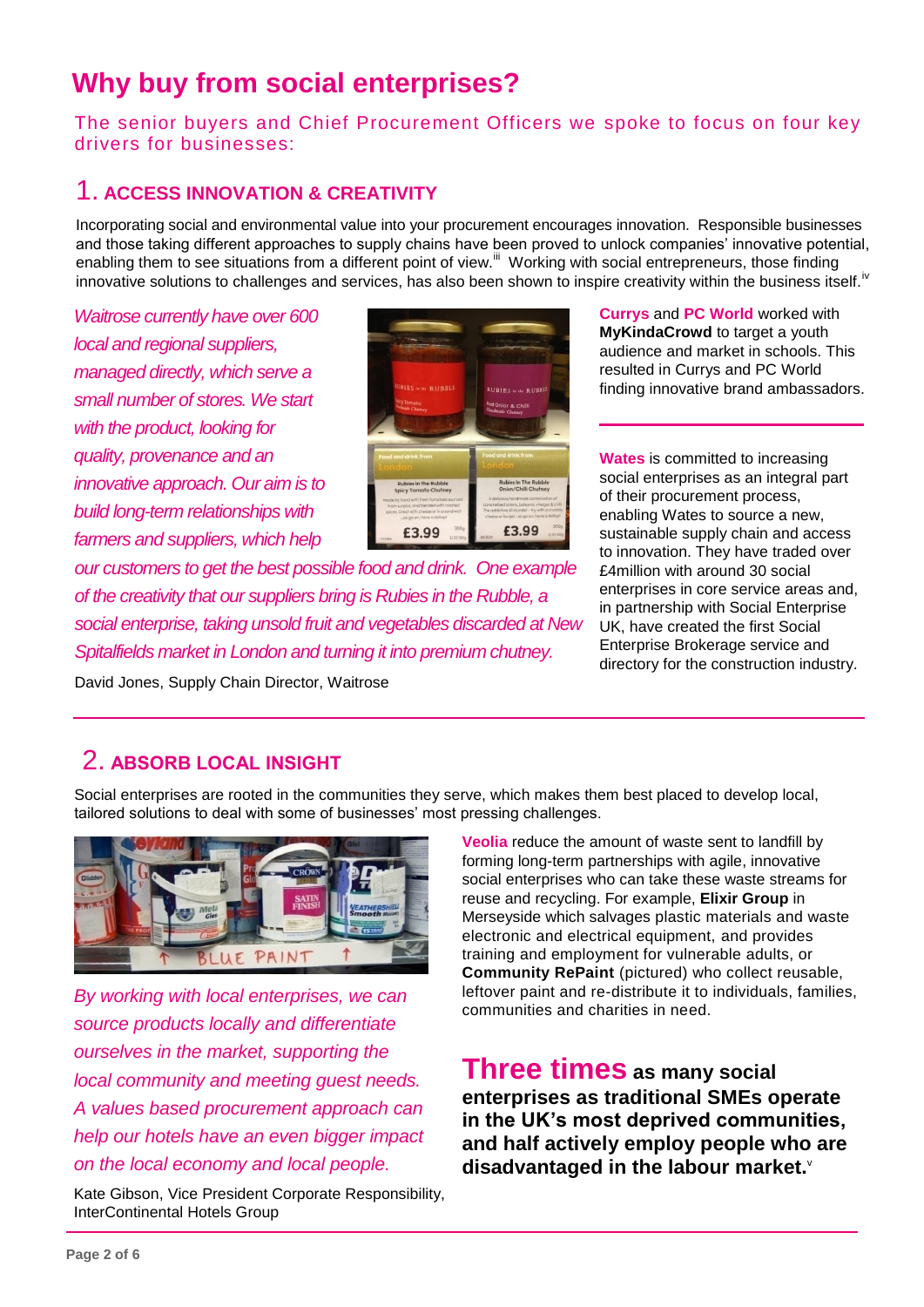## **Why buy from social enterprises?**

The senior buyers and Chief Procurement Officers we spoke to focus on four key drivers for businesses:

### 1. **ACCESS INNOVATION & CREATIVITY**

Incorporating social and environmental value into your procurement encourages innovation. Responsible businesses and those taking different approaches to supply chains have been proved to unlock companies' innovative potential, enabling them to see situations from a different point of view.<sup>iii</sup> Working with social entrepreneurs, those finding innovative solutions to challenges and services, has also been shown to inspire creativity within the business itself.<sup>iv</sup>

*Waitrose currently have over 600 local and regional suppliers, managed directly, which serve a small number of stores. We start with the product, looking for quality, provenance and an innovative approach. Our aim is to build long-term relationships with farmers and suppliers, which help* 



*our customers to get the best possible food and drink. One example of the creativity that our suppliers bring is Rubies in the Rubble, a social enterprise, taking unsold fruit and vegetables discarded at New Spitalfields market in London and turning it into premium chutney.* 

**Currys** and **PC World** worked with **MyKindaCrowd** to target a youth audience and market in schools. This resulted in Currys and PC World finding innovative brand ambassadors.

**Wates** is committed to increasing social enterprises as an integral part of their procurement process, enabling Wates to source a new, sustainable supply chain and access to innovation. They have traded over £4million with around 30 social enterprises in core service areas and, in partnership with Social Enterprise UK, have created the first Social Enterprise Brokerage service and directory for the construction industry.

David Jones, Supply Chain Director, Waitrose

### 2. **ABSORB LOCAL INSIGHT**

Social enterprises are rooted in the communities they serve, which makes them best placed to develop local, tailored solutions to deal with some of businesses' most pressing challenges.



*By working with local enterprises, we can source products locally and differentiate ourselves in the market, supporting the local community and meeting guest needs. A values based procurement approach can help our hotels have an even bigger impact on the local economy and local people.* 

Kate Gibson, Vice President Corporate Responsibility, InterContinental Hotels Group

**Veolia** reduce the amount of waste sent to landfill by forming long-term partnerships with agile, innovative social enterprises who can take these waste streams for reuse and recycling. For example, **Elixir Group** in Merseyside which salvages plastic materials and waste electronic and electrical equipment, and provides training and employment for vulnerable adults, or **Community RePaint** (pictured) who collect reusable, leftover paint and re-distribute it to individuals, families, communities and charities in need.

### **Three times as many social enterprises as traditional SMEs operate in the UK's most deprived communities, and half actively employ people who are disadvantaged in the labour market.**<sup>v</sup>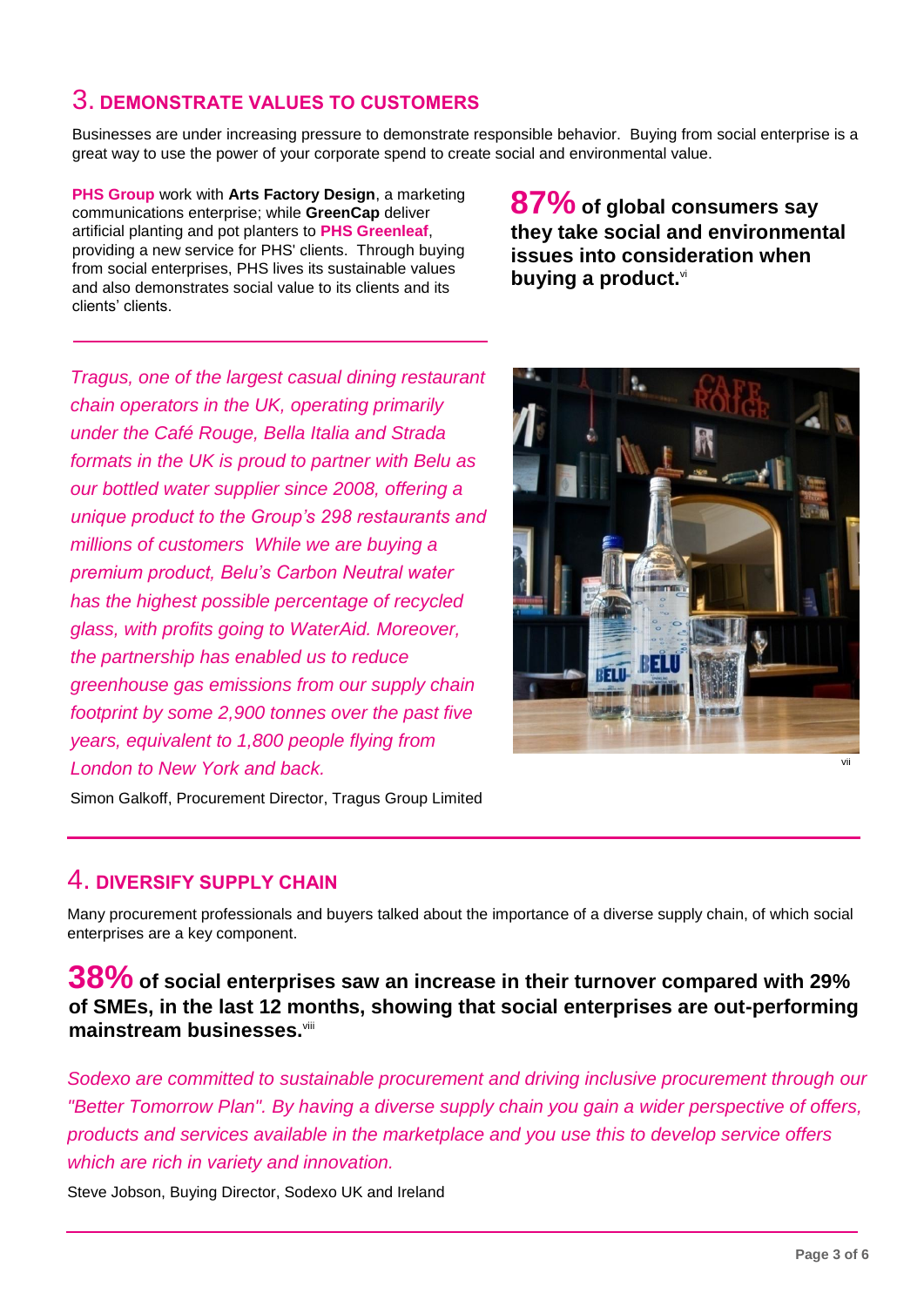## 3. **DEMONSTRATE VALUES TO CUSTOMERS**

Businesses are under increasing pressure to demonstrate responsible behavior. Buying from social enterprise is a great way to use the power of your corporate spend to create social and environmental value.

**PHS Group** work with **Arts Factory Design**, a marketing communications enterprise; while **GreenCap** deliver artificial planting and pot planters to **PHS Greenleaf**, providing a new service for PHS' clients. Through buying from social enterprises, PHS lives its sustainable values and also demonstrates social value to its clients and its clients' clients.

**87% of global consumers say they take social and environmental issues into consideration when buying a product.**vi

*Tragus, one of the largest casual dining restaurant chain operators in the UK, operating primarily under the Café Rouge, Bella Italia and Strada formats in the UK is proud to partner with Belu as our bottled water supplier since 2008, offering a unique product to the Group's 298 restaurants and millions of customers While we are buying a premium product, Belu's Carbon Neutral water has the highest possible percentage of recycled glass, with profits going to WaterAid. Moreover, the partnership has enabled us to reduce greenhouse gas emissions from our supply chain footprint by some 2,900 tonnes over the past five years, equivalent to 1,800 people flying from London to New York and back.* 



Simon Galkoff, Procurement Director, Tragus Group Limited

### 4. **DIVERSIFY SUPPLY CHAIN**

Many procurement professionals and buyers talked about the importance of a diverse supply chain, of which social enterprises are a key component.

### **38% of social enterprises saw an increase in their turnover compared with 29% of SMEs, in the last 12 months, showing that social enterprises are out-performing mainstream businesses.**viii

*Sodexo are committed to sustainable procurement and driving inclusive procurement through our "Better Tomorrow Plan". By having a diverse supply chain you gain a wider perspective of offers, products and services available in the marketplace and you use this to develop service offers which are rich in variety and innovation.*

Steve Jobson, Buying Director, Sodexo UK and Ireland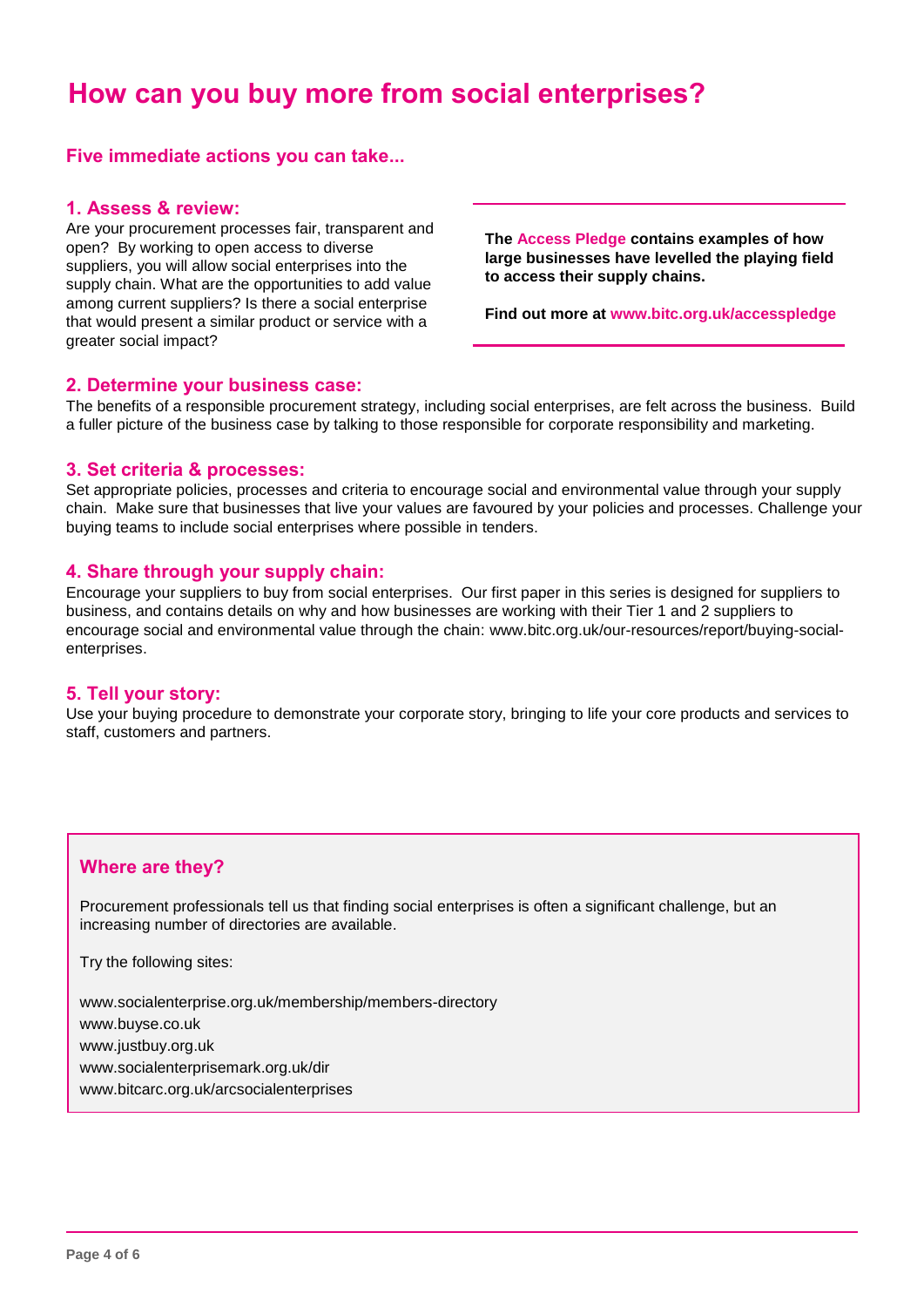## **How can you buy more from social enterprises?**

#### **Five immediate actions you can take...**

#### **1. Assess & review:**

Are your procurement processes fair, transparent and open? By working to open access to diverse suppliers, you will allow social enterprises into the supply chain. What are the opportunities to add value among current suppliers? Is there a social enterprise that would present a similar product or service with a greater social impact?

**The Access Pledge contains examples of how large businesses have levelled the playing field to access their supply chains.** 

**Find out more at www.bitc.org.uk/accesspledge**

#### **2. Determine your business case:**

The benefits of a responsible procurement strategy, including social enterprises, are felt across the business. Build a fuller picture of the business case by talking to those responsible for corporate responsibility and marketing.

#### **3. Set criteria & processes:**

Set appropriate policies, processes and criteria to encourage social and environmental value through your supply chain. Make sure that businesses that live your values are favoured by your policies and processes. Challenge your buying teams to include social enterprises where possible in tenders.

#### **4. Share through your supply chain:**

Encourage your suppliers to buy from social enterprises. Our first paper in this series is designed for suppliers to business, and contains details on why and how businesses are working with their Tier 1 and 2 suppliers to encourage social and environmental value through the chain: www.bitc.org.uk/our-resources/report/buying-socialenterprises.

#### **5. Tell your story:**

Use your buying procedure to demonstrate your corporate story, bringing to life your core products and services to staff, customers and partners.

#### **Where are they?**

Procurement professionals tell us that finding social enterprises is often a significant challenge, but an increasing number of directories are available.

Try the following sites:

www.socialenterprise.org.uk/membership/members-directory www.buyse.co.uk www.justbuy.org.uk www.socialenterprisemark.org.uk/dir www.bitcarc.org.uk/arcsocialenterprises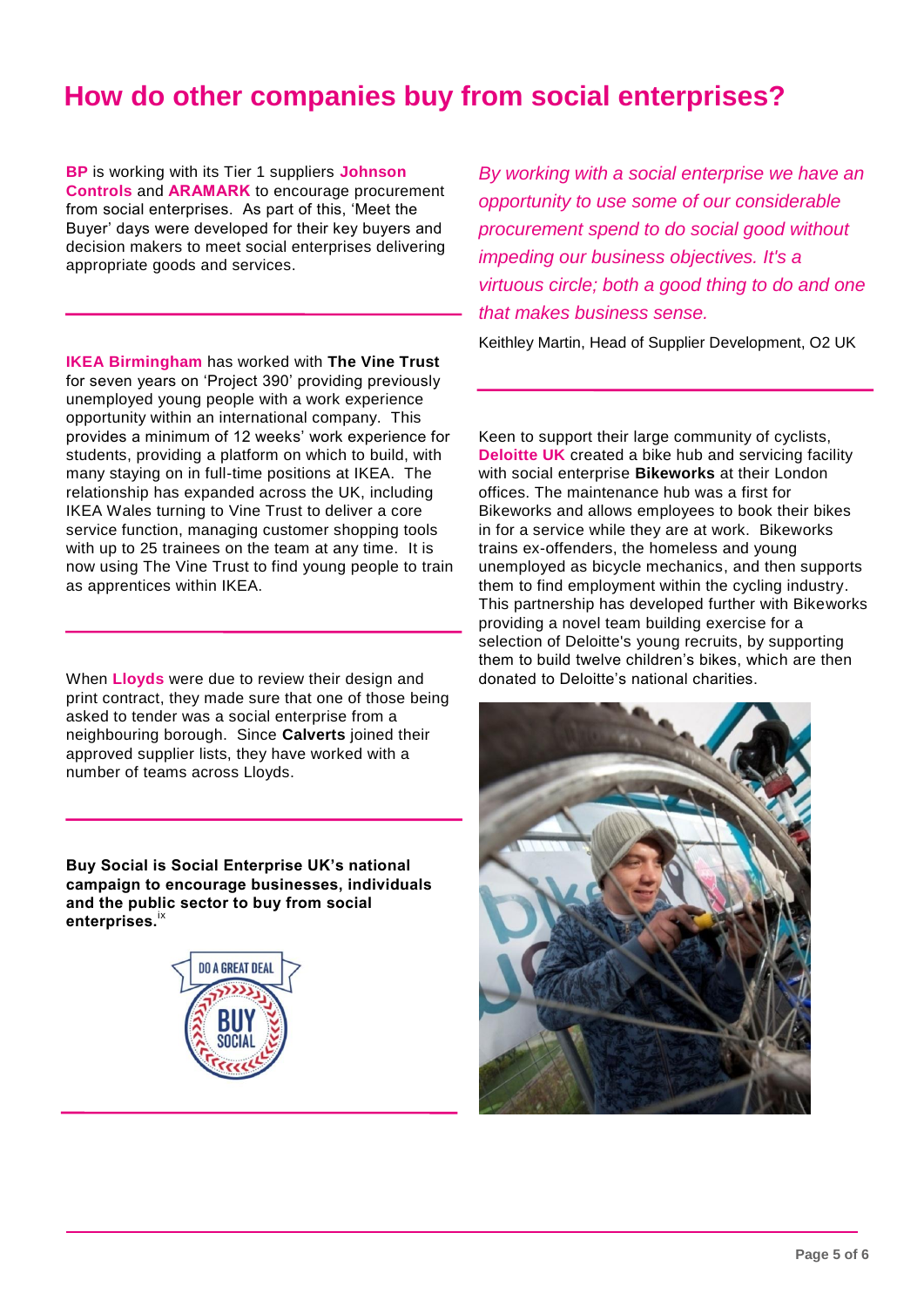## **How do other companies buy from social enterprises?**

**BP** is working with its Tier 1 suppliers **Johnson Controls** and **ARAMARK** to encourage procurement from social enterprises. As part of this, 'Meet the Buyer' days were developed for their key buyers and decision makers to meet social enterprises delivering appropriate goods and services.

**IKEA Birmingham** has worked with **The Vine Trust** for seven years on 'Project 390' providing previously unemployed young people with a work experience opportunity within an international company. This provides a minimum of 12 weeks' work experience for students, providing a platform on which to build, with many staying on in full-time positions at IKEA. The relationship has expanded across the UK, including IKEA Wales turning to Vine Trust to deliver a core service function, managing customer shopping tools with up to 25 trainees on the team at any time. It is now using The Vine Trust to find young people to train as apprentices within IKEA.

When **Lloyds** were due to review their design and print contract, they made sure that one of those being asked to tender was a social enterprise from a neighbouring borough. Since **Calverts** joined their approved supplier lists, they have worked with a number of teams across Lloyds.

**Buy Social is Social Enterprise UK's national campaign to encourage businesses, individuals and the public sector to buy from social enterprises.**ix



*By working with a social enterprise we have an opportunity to use some of our considerable procurement spend to do social good without impeding our business objectives. It's a virtuous circle; both a good thing to do and one that makes business sense.* 

Keithley Martin, Head of Supplier Development, O2 UK

Keen to support their large community of cyclists, **Deloitte UK** created a bike hub and servicing facility with social enterprise **Bikeworks** at their London offices. The maintenance hub was a first for Bikeworks and allows employees to book their bikes in for a service while they are at work. Bikeworks trains ex-offenders, the homeless and young unemployed as bicycle mechanics, and then supports them to find employment within the cycling industry. This partnership has developed further with Bikeworks providing a novel team building exercise for a selection of Deloitte's young recruits, by supporting them to build twelve children's bikes, which are then donated to Deloitte's national charities.